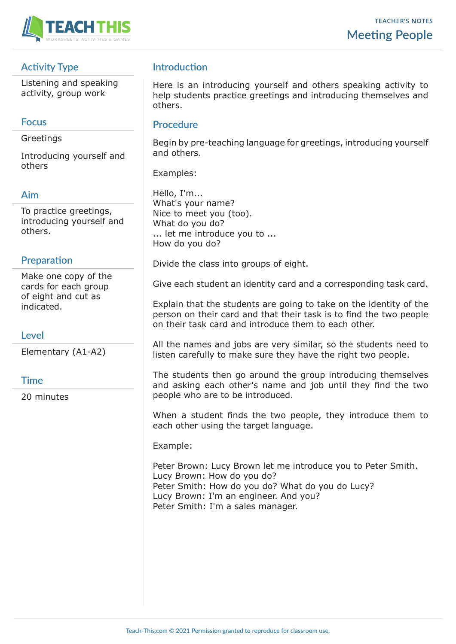

# **Activity Type**

Listening and speaking activity, group work

# **Focus**

**Greetings** 

Introducing yourself and others

# **Aim**

To practice greetings, introducing yourself and others.

# **Preparation**

Make one copy of the cards for each group of eight and cut as indicated.

# **Level**

Elementary (A1-A2)

## **Time**

20 minutes

# **Introduction**

Here is an introducing yourself and others speaking activity to help students practice greetings and introducing themselves and others.

## **Procedure**

Begin by pre-teaching language for greetings, introducing yourself and others.

Examples:

Hello, I'm... What's your name? Nice to meet you (too). What do you do? ... let me introduce you to ... How do you do?

Divide the class into groups of eight.

Give each student an identity card and a corresponding task card.

Explain that the students are going to take on the identity of the person on their card and that their task is to find the two people on their task card and introduce them to each other.

All the names and jobs are very similar, so the students need to listen carefully to make sure they have the right two people.

The students then go around the group introducing themselves and asking each other's name and job until they find the two people who are to be introduced.

When a student finds the two people, they introduce them to each other using the target language.

Example:

Peter Brown: Lucy Brown let me introduce you to Peter Smith. Lucy Brown: How do you do? Peter Smith: How do you do? What do you do Lucy? Lucy Brown: I'm an engineer. And you? Peter Smith: I'm a sales manager.